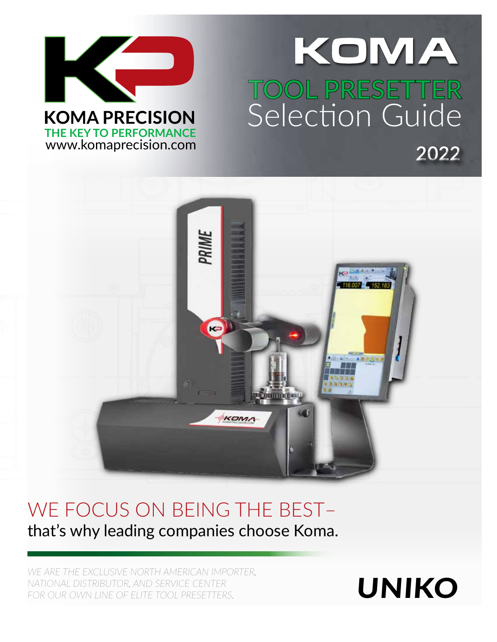

# KOMA .<br>1777 -**TOOL PRESETTER** Selection Guide A **2022**



# WE FOCUS ON BEING THE BEST– that's why leading companies choose Koma.

*WE ARE THE EXCLUSIVE NORTH AMERICAN IMPORTER, NATIONAL DISTRIBUTOR, AND SERVICE CENTER*  FOR OUR OWN LINE OF ELITE TOOL PRESETTERS.

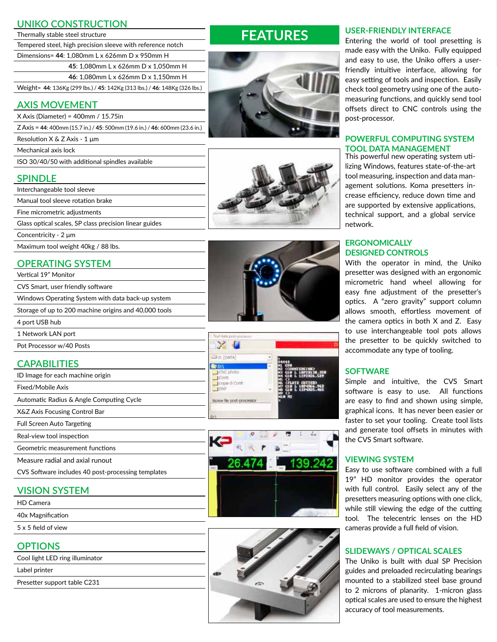| <b>UNIKO CONSTRUCTION</b>                                                   |  |  |  |
|-----------------------------------------------------------------------------|--|--|--|
| Thermally stable steel structure                                            |  |  |  |
| Tempered steel, high precision sleeve with reference notch                  |  |  |  |
| Dimensions= 44: 1,080mm L x 626mm D x 950mm H                               |  |  |  |
| 45: 1,080mm L x 626mm D x 1,050mm H                                         |  |  |  |
| 46: 1,080mm L x 626mm D x 1,150mm H                                         |  |  |  |
| Weight= 44: 136Kg (299 lbs.) / 45: 142Kg (313 lbs.) / 46: 148Kg (326 lbs.)  |  |  |  |
| <b>AXIS MOVEMENT</b>                                                        |  |  |  |
| $X$ Axis (Diameter) = 400mm / 15.75in                                       |  |  |  |
| Z Axis = 44: 400mm (15.7 in.) / 45: 500mm (19.6 in.) / 46: 600mm (23.6 in.) |  |  |  |
| Resolution $X \& Z A x is - 1 \mu m$                                        |  |  |  |
| Mechanical axis lock                                                        |  |  |  |
| ISO 30/40/50 with additional spindles available                             |  |  |  |
| <b>SPINDLE</b>                                                              |  |  |  |
| Interchangeable tool sleeve                                                 |  |  |  |
| Manual tool sleeve rotation brake                                           |  |  |  |
| Fine micrometric adjustments                                                |  |  |  |
| Glass optical scales, SP class precision linear guides                      |  |  |  |
| Concentricity - $2 \mu m$                                                   |  |  |  |
| Maximum tool weight 40kg / 88 lbs.                                          |  |  |  |
| <b>OPERATING SYSTEM</b>                                                     |  |  |  |
| Vertical 19" Monitor                                                        |  |  |  |
| CVS Smart, user friendly software                                           |  |  |  |
| Windows Operating System with data back-up system                           |  |  |  |
| Storage of up to 200 machine origins and 40,000 tools                       |  |  |  |
| 4 port USB hub                                                              |  |  |  |
| 1 Network LAN port                                                          |  |  |  |
| Pot Processor w/40 Posts                                                    |  |  |  |

# **CAPABILITIES**

- ID Image for each machine origin
- Fixed/Mobile Axis
- Automatic Radius & Angle Computing Cycle
- X&Z Axis Focusing Control Bar
- Full Screen Auto Targeting
- Real-view tool inspection
- Geometric measurement functions
- Measure radial and axial runout
- CVS Software includes 40 post-processing templates

## **VISION SYSTEM**

- HD Camera
- 40x Magnification
- 5 x 5 field of view

## **OPTIONS**

- Cool light LED ring illuminator
- Label printer
- Presetter support table C231

# **FEATURES**







| Teel data pod-pidta                        |                                                                                                                             |
|--------------------------------------------|-----------------------------------------------------------------------------------------------------------------------------|
| LIF d: [DATA]                              |                                                                                                                             |
| CNC photo<br>Conti<br>copa di Conti<br>DWF | <b>COURTERS IND</b><br>GLO L 10023130.358<br>GLO L 1272326.527<br>(FLUTE CUTTER)<br>L 18P4866.962<br>G1 M<br>C19 L 12P4R25. |
| Nome file post-processor.                  |                                                                                                                             |





#### **USER-FRIENDLY INTERFACE**

Entering the world of tool presetting is made easy with the Uniko. Fully equipped and easy to use, the Uniko offers a userfriendly intuitive interface, allowing for easy setting of tools and inspection. Easily check tool geometry using one of the automeasuring functions, and quickly send tool offsets direct to CNC controls using the post-processor.

# **POWERFUL COMPUTING SYSTEM TOOL DATA MANAGEMENT** This powerful new operating system uti-

lizing Windows, features state-of-the-art tool measuring, inspection and data management solutions. Koma presetters increase efficiency, reduce down time and are supported by extensive applications, technical support, and a global service network.

#### **ERGONOMICALLY DESIGNED CONTROLS**

With the operator in mind, the Uniko presetter was designed with an ergonomic micrometric hand wheel allowing for easy fine adjustment of the presetter's optics. A "zero gravity" support column allows smooth, effortless movement of the camera optics in both X and Z. Easy to use interchangeable tool pots allows the presetter to be quickly switched to accommodate any type of tooling.

#### **SOFTWARE**

Simple and intuitive, the CVS Smart software is easy to use. All functions are easy to find and shown using simple, graphical icons. It has never been easier or faster to set your tooling. Create tool lists and generate tool offsets in minutes with the CVS Smart software.

## **VIEWING SYSTEM**

Easy to use software combined with a full 19" HD monitor provides the operator with full control. Easily select any of the presetters measuring options with one click, while still viewing the edge of the cutting tool. The telecentric lenses on the HD cameras provide a full field of vision.

## **SLIDEWAYS / OPTICAL SCALES**

The Uniko is built with dual SP Precision guides and preloaded recirculating bearings mounted to a stabilized steel base ground to 2 microns of planarity. 1-micron glass optical scales are used to ensure the highest accuracy of tool measurements.

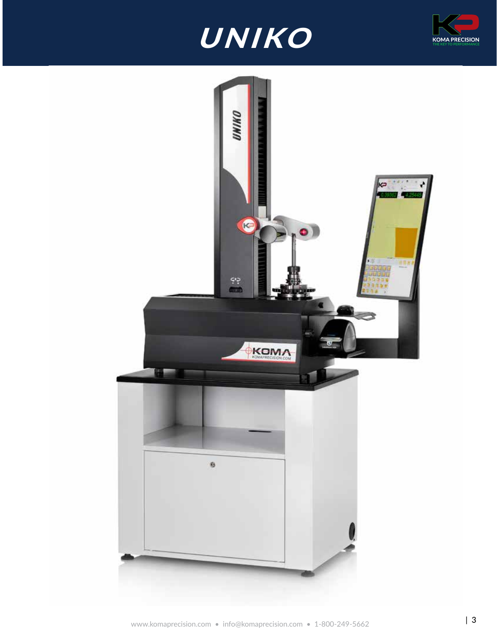